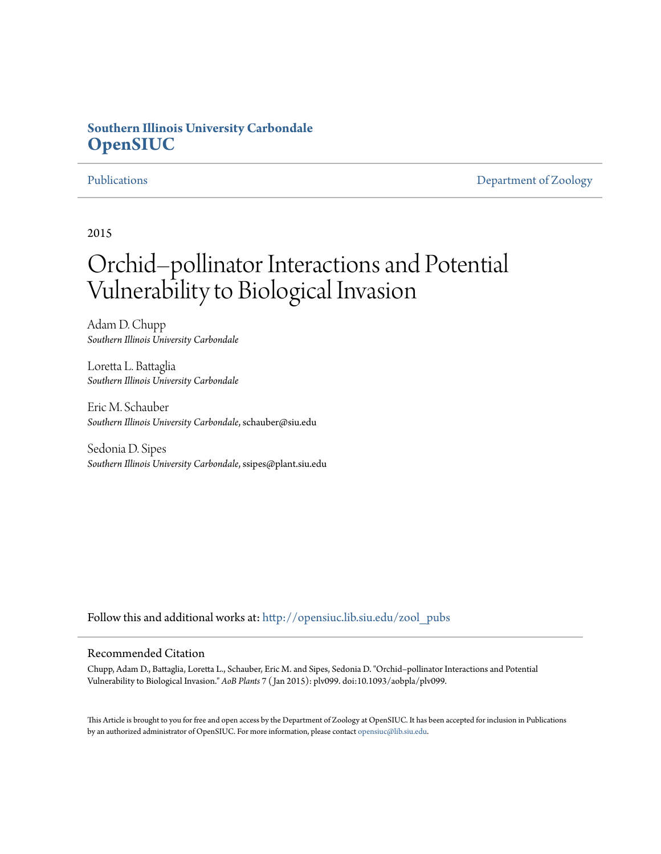# **Southern Illinois University Carbondale [OpenSIUC](http://opensiuc.lib.siu.edu?utm_source=opensiuc.lib.siu.edu%2Fzool_pubs%2F85&utm_medium=PDF&utm_campaign=PDFCoverPages)**

[Publications](http://opensiuc.lib.siu.edu/zool_pubs?utm_source=opensiuc.lib.siu.edu%2Fzool_pubs%2F85&utm_medium=PDF&utm_campaign=PDFCoverPages) **[Department of Zoology](http://opensiuc.lib.siu.edu/zool?utm_source=opensiuc.lib.siu.edu%2Fzool_pubs%2F85&utm_medium=PDF&utm_campaign=PDFCoverPages)** 

2015

# Orchid–pollinator Interactions and Potential Vulnerability to Biological Invasion

Adam D. Chupp *Southern Illinois University Carbondale*

Loretta L. Battaglia *Southern Illinois University Carbondale*

Eric M. Schauber *Southern Illinois University Carbondale*, schauber@siu.edu

Sedonia D. Sipes *Southern Illinois University Carbondale*, ssipes@plant.siu.edu

Follow this and additional works at: [http://opensiuc.lib.siu.edu/zool\\_pubs](http://opensiuc.lib.siu.edu/zool_pubs?utm_source=opensiuc.lib.siu.edu%2Fzool_pubs%2F85&utm_medium=PDF&utm_campaign=PDFCoverPages)

#### Recommended Citation

Chupp, Adam D., Battaglia, Loretta L., Schauber, Eric M. and Sipes, Sedonia D. "Orchid–pollinator Interactions and Potential Vulnerability to Biological Invasion." *AoB Plants* 7 ( Jan 2015): plv099. doi:10.1093/aobpla/plv099.

This Article is brought to you for free and open access by the Department of Zoology at OpenSIUC. It has been accepted for inclusion in Publications by an authorized administrator of OpenSIUC. For more information, please contact [opensiuc@lib.siu.edu.](mailto:opensiuc@lib.siu.edu)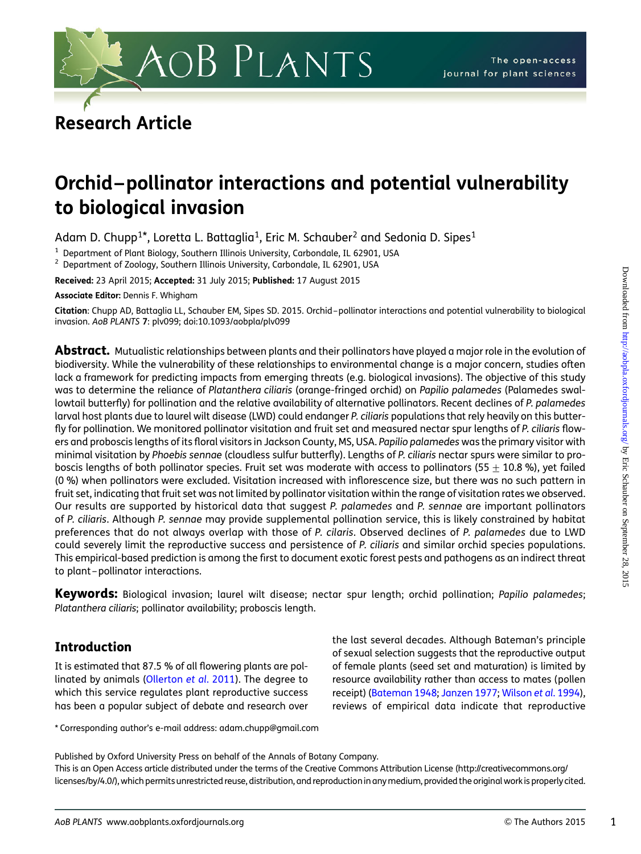

# Research Article

# Orchid–pollinator interactions and potential vulnerability to biological invasion

Adam D. Chupp<sup>1\*</sup>, Loretta L. Battaglia<sup>1</sup>, Eric M. Schauber<sup>2</sup> and Sedonia D. Sipes<sup>1</sup>

<sup>1</sup> Department of Plant Biology, Southern Illinois University, Carbondale, IL 62901, USA  $^2$  Department of Zoology, Southern Illinois University, Carbondale, IL 62901, USA

Received: 23 April 2015; Accepted: 31 July 2015; Published: 17 August 2015

Associate Editor: Dennis F. Whigham

Citation: Chupp AD, Battaglia LL, Schauber EM, Sipes SD. 2015. Orchid–pollinator interactions and potential vulnerability to biological invasion. AoB PLANTS 7: plv099; doi:10.1093/aobpla/plv099

Abstract. Mutualistic relationships between plants and their pollinators have played a major role in the evolution of biodiversity. While the vulnerability of these relationships to environmental change is a major concern, studies often lack a framework for predicting impacts from emerging threats (e.g. biological invasions). The objective of this study was to determine the reliance of Platanthera ciliaris (orange-fringed orchid) on Papilio palamedes (Palamedes swallowtail butterfly) for pollination and the relative availability of alternative pollinators. Recent declines of P. palamedes larval host plants due to laurel wilt disease (LWD) could endanger P. ciliaris populations that rely heavily on this butterfly for pollination. We monitored pollinator visitation and fruit set and measured nectar spur lengths of P. ciliaris flowers and proboscis lengths of its floral visitors in Jackson County, MS, USA. Papilio palamedes was the primary visitor with minimal visitation by Phoebis sennae (cloudless sulfur butterfly). Lengths of P. ciliaris nectar spurs were similar to proboscis lengths of both pollinator species. Fruit set was moderate with access to pollinators (55  $+$  10.8 %), yet failed (0 %) when pollinators were excluded. Visitation increased with inflorescence size, but there was no such pattern in fruit set, indicating that fruit set was not limited by pollinator visitation within the range of visitation rates we observed. Our results are supported by historical data that suggest P. palamedes and P. sennae are important pollinators of P. ciliaris. Although P. sennae may provide supplemental pollination service, this is likely constrained by habitat preferences that do not always overlap with those of P. cilaris. Observed declines of P. palamedes due to LWD could severely limit the reproductive success and persistence of P. ciliaris and similar orchid species populations. This empirical-based prediction is among the first to document exotic forest pests and pathogens as an indirect threat to plant–pollinator interactions.

Keywords: Biological invasion; laurel wilt disease; nectar spur length; orchid pollination; Papilio palamedes; Platanthera ciliaris; pollinator availability; proboscis length.

## Introduction

It is estimated that 87.5 % of all flowering plants are pollinated by animals ([Ollerton](#page-9-0) et al. 2011). The degree to which this service regulates plant reproductive success has been a popular subject of debate and research over

\* Corresponding author's e-mail address: adam.chupp@gmail.com

the last several decades. Although Bateman's principle of sexual selection suggests that the reproductive output of female plants (seed set and maturation) is limited by resource availability rather than access to mates (pollen receipt) [\(Bateman 1948](#page-8-0); [Janzen 1977](#page-8-0); [Wilson](#page-9-0) et al. 1994), reviews of empirical data indicate that reproductive

Published by Oxford University Press on behalf of the Annals of Botany Company.

This is an Open Access article distributed under the terms of the Creative Commons Attribution License ([http://creativecommons.org/](http://creativecommons.org/licenses/by/4.0/) [licenses/by/4.0/\)](http://creativecommons.org/licenses/by/4.0/), which permits unrestricted reuse, distribution, and reproduction in any medium, provided the original work is properly cited.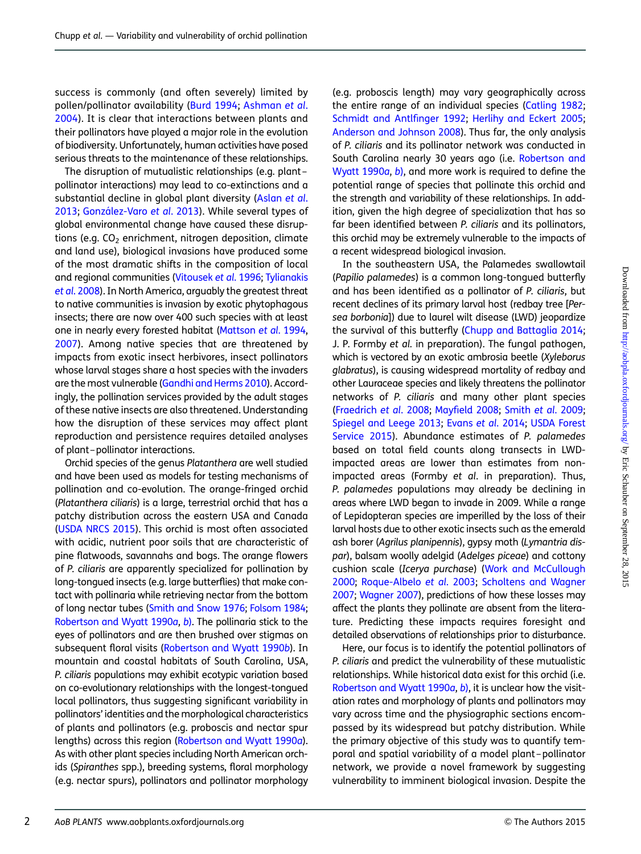success is commonly (and often severely) limited by pollen/pollinator availability ([Burd 1994;](#page-8-0) [Ashman](#page-8-0) et al. [2004\)](#page-8-0). It is clear that interactions between plants and their pollinators have played a major role in the evolution of biodiversity. Unfortunately, human activities have posed serious threats to the maintenance of these relationships.

The disruption of mutualistic relationships (e.g. plant– pollinator interactions) may lead to co-extinctions and a substantial decline in global plant diversity ([Aslan](#page-8-0) et al. [2013](#page-8-0); González-Varo et al. 2013). While several types of global environmental change have caused these disruptions (e.g.  $CO<sub>2</sub>$  enrichment, nitrogen deposition, climate and land use), biological invasions have produced some of the most dramatic shifts in the composition of local and regional communities ([Vitousek](#page-9-0) et al. 1996; [Tylianakis](#page-9-0) et al[. 2008\)](#page-9-0). In North America, arguably the greatest threat to native communities is invasion by exotic phytophagous insects; there are now over 400 such species with at least one in nearly every forested habitat [\(Mattson](#page-9-0) et al. 1994, [2007](#page-9-0)). Among native species that are threatened by impacts from exotic insect herbivores, insect pollinators whose larval stages share a host species with the invaders are the most vulnerable [\(Gandhi and Herms 2010\)](#page-8-0). Accordingly, the pollination services provided by the adult stages of these native insects are also threatened. Understanding how the disruption of these services may affect plant reproduction and persistence requires detailed analyses of plant–pollinator interactions.

Orchid species of the genus Platanthera are well studied and have been used as models for testing mechanisms of pollination and co-evolution. The orange-fringed orchid (Platanthera ciliaris) is a large, terrestrial orchid that has a patchy distribution across the eastern USA and Canada [\(USDA NRCS 2015\)](#page-9-0). This orchid is most often associated with acidic, nutrient poor soils that are characteristic of pine flatwoods, savannahs and bogs. The orange flowers of P. ciliaris are apparently specialized for pollination by long-tongued insects (e.g. large butterflies) that make contact with pollinaria while retrieving nectar from the bottom of long nectar tubes [\(Smith and Snow 1976;](#page-9-0) [Folsom 1984](#page-8-0); [Robertson and Wyatt 1990](#page-9-0)a, [b](#page-9-0)). The pollinaria stick to the eyes of pollinators and are then brushed over stigmas on subsequent floral visits [\(Robertson and Wyatt 1990](#page-9-0)b). In mountain and coastal habitats of South Carolina, USA, P. ciliaris populations may exhibit ecotypic variation based on co-evolutionary relationships with the longest-tongued local pollinators, thus suggesting significant variability in pollinators' identities and the morphological characteristics of plants and pollinators (e.g. proboscis and nectar spur lengths) across this region [\(Robertson and Wyatt 1990](#page-9-0)a). As with other plant species including North American orchids (Spiranthes spp.), breeding systems, floral morphology (e.g. nectar spurs), pollinators and pollinator morphology

(e.g. proboscis length) may vary geographically across the entire range of an individual species ([Catling 1982;](#page-8-0) [Schmidt and Antlfinger 1992](#page-9-0); [Herlihy and Eckert 2005;](#page-8-0) [Anderson and Johnson 2008](#page-8-0)). Thus far, the only analysis of P. ciliaris and its pollinator network was conducted in South Carolina nearly 30 years ago (i.e. [Robertson and](#page-9-0) [Wyatt 1990](#page-9-0)a, [b](#page-9-0)), and more work is required to define the potential range of species that pollinate this orchid and the strength and variability of these relationships. In addition, given the high degree of specialization that has so far been identified between P. ciliaris and its pollinators, this orchid may be extremely vulnerable to the impacts of a recent widespread biological invasion. In the southeastern USA, the Palamedes swallowtail (Papilio palamedes) is a common long-tongued butterfly

and has been identified as a pollinator of P. ciliaris, but recent declines of its primary larval host (redbay tree [Persea borbonia]) due to laurel wilt disease (LWD) jeopardize the survival of this butterfly ([Chupp and Battaglia 2014](#page-8-0); J. P. Formby et al. in preparation). The fungal pathogen, which is vectored by an exotic ambrosia beetle (Xyleborus glabratus), is causing widespread mortality of redbay and other Lauraceae species and likely threatens the pollinator networks of P. ciliaris and many other plant species ([Fraedrich](#page-8-0) et al. 2008; [Mayfield 2008;](#page-9-0) Smith et al[. 2009;](#page-9-0) [Spiegel and Leege 2013;](#page-9-0) Evans et al[. 2014;](#page-8-0) [USDA Forest](#page-9-0) [Service 2015](#page-9-0)). Abundance estimates of P. palamedes based on total field counts along transects in LWDimpacted areas are lower than estimates from nonimpacted areas (Formby et al. in preparation). Thus, P. palamedes populations may already be declining in areas where LWD began to invade in 2009. While a range of Lepidopteran species are imperilled by the loss of their larval hosts due to other exotic insects such as the emerald ash borer (Agrilus planipennis), gypsy moth (Lymantria dispar), balsam woolly adelgid (Adelges piceae) and cottony cushion scale (Icerya purchase) [\(Work and McCullough](#page-9-0) [2000;](#page-9-0) [Roque-Albelo](#page-9-0) et al. 2003; [Scholtens and Wagner](#page-9-0) [2007](#page-9-0); [Wagner 2007\)](#page-9-0), predictions of how these losses may affect the plants they pollinate are absent from the literature. Predicting these impacts requires foresight and detailed observations of relationships prior to disturbance.

Here, our focus is to identify the potential pollinators of P. ciliaris and predict the vulnerability of these mutualistic relationships. While historical data exist for this orchid (i.e. [Robertson and Wyatt 1990](#page-9-0)a, [b](#page-9-0)), it is unclear how the visitation rates and morphology of plants and pollinators may vary across time and the physiographic sections encompassed by its widespread but patchy distribution. While the primary objective of this study was to quantify temporal and spatial variability of a model plant–pollinator network, we provide a novel framework by suggesting vulnerability to imminent biological invasion. Despite the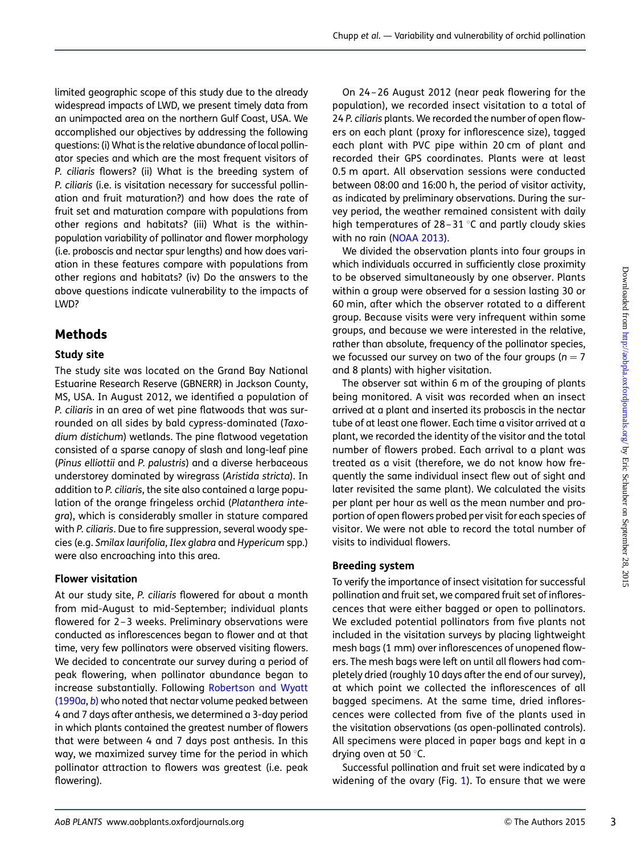limited geographic scope of this study due to the already widespread impacts of LWD, we present timely data from an unimpacted area on the northern Gulf Coast, USA. We accomplished our objectives by addressing the following questions: (i) What is the relative abundance of local pollinator species and which are the most frequent visitors of P. ciliaris flowers? (ii) What is the breeding system of P. ciliaris (i.e. is visitation necessary for successful pollination and fruit maturation?) and how does the rate of fruit set and maturation compare with populations from other regions and habitats? (iii) What is the withinpopulation variability of pollinator and flower morphology (i.e. proboscis and nectar spur lengths) and how does variation in these features compare with populations from other regions and habitats? (iv) Do the answers to the above questions indicate vulnerability to the impacts of LWD?

## Methods

#### Study site

The study site was located on the Grand Bay National Estuarine Research Reserve (GBNERR) in Jackson County, MS, USA. In August 2012, we identified a population of P. ciliaris in an area of wet pine flatwoods that was surrounded on all sides by bald cypress-dominated (Taxodium distichum) wetlands. The pine flatwood vegetation consisted of a sparse canopy of slash and long-leaf pine (Pinus elliottii and P. palustris) and a diverse herbaceous understorey dominated by wiregrass (Aristida stricta). In addition to P. ciliaris, the site also contained a large population of the orange fringeless orchid (Platanthera integra), which is considerably smaller in stature compared with P. ciliaris. Due to fire suppression, several woody species (e.g. Smilax laurifolia, Ilex glabra and Hypericum spp.) were also encroaching into this area.

#### Flower visitation

At our study site, P. ciliaris flowered for about a month from mid-August to mid-September; individual plants flowered for 2–3 weeks. Preliminary observations were conducted as inflorescences began to flower and at that time, very few pollinators were observed visiting flowers. We decided to concentrate our survey during a period of peak flowering, when pollinator abundance began to increase substantially. Following [Robertson and Wyatt](#page-9-0) [\(1990](#page-9-0)a, [b](#page-9-0)) who noted that nectar volume peaked between 4 and 7 days after anthesis, we determined a 3-day period in which plants contained the greatest number of flowers that were between 4 and 7 days post anthesis. In this way, we maximized survey time for the period in which pollinator attraction to flowers was greatest (i.e. peak flowering).

On 24–26 August 2012 (near peak flowering for the population), we recorded insect visitation to a total of 24 P. ciliaris plants. We recorded the number of open flowers on each plant (proxy for inflorescence size), tagged each plant with PVC pipe within 20 cm of plant and recorded their GPS coordinates. Plants were at least 0.5 m apart. All observation sessions were conducted between 08:00 and 16:00 h, the period of visitor activity, as indicated by preliminary observations. During the survey period, the weather remained consistent with daily high temperatures of  $28-31$  °C and partly cloudy skies with no rain ([NOAA 2013\)](#page-9-0).

We divided the observation plants into four groups in which individuals occurred in sufficiently close proximity to be observed simultaneously by one observer. Plants within a group were observed for a session lasting 30 or 60 min, after which the observer rotated to a different group. Because visits were very infrequent within some groups, and because we were interested in the relative, rather than absolute, frequency of the pollinator species, we focussed our survey on two of the four groups ( $n = 7$ and 8 plants) with higher visitation.

The observer sat within 6 m of the grouping of plants being monitored. A visit was recorded when an insect arrived at a plant and inserted its proboscis in the nectar tube of at least one flower. Each time a visitor arrived at a plant, we recorded the identity of the visitor and the total number of flowers probed. Each arrival to a plant was treated as a visit (therefore, we do not know how frequently the same individual insect flew out of sight and later revisited the same plant). We calculated the visits per plant per hour as well as the mean number and proportion of open flowers probed per visit for each species of visitor. We were not able to record the total number of visits to individual flowers.

# Breeding system

To verify the importance of insect visitation for successful pollination and fruit set, we compared fruit set of inflorescences that were either bagged or open to pollinators. We excluded potential pollinators from five plants not included in the visitation surveys by placing lightweight mesh bags (1 mm) over inflorescences of unopened flowers. The mesh bags were left on until all flowers had completely dried (roughly 10 days after the end of our survey), at which point we collected the inflorescences of all bagged specimens. At the same time, dried inflorescences were collected from five of the plants used in the visitation observations (as open-pollinated controls). All specimens were placed in paper bags and kept in a drying oven at 50 $\degree$ C.

Successful pollination and fruit set were indicated by a widening of the ovary (Fig. [1\)](#page-4-0). To ensure that we were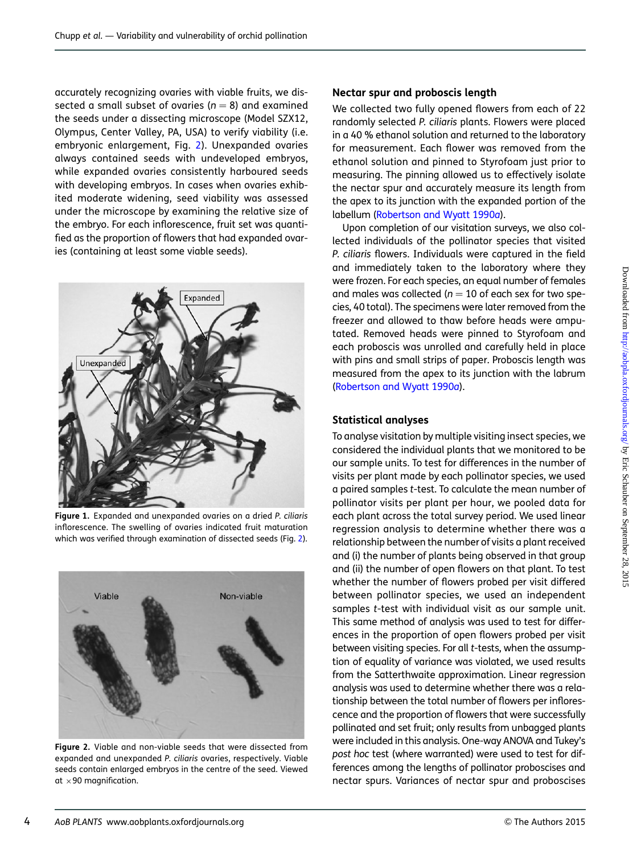<span id="page-4-0"></span>accurately recognizing ovaries with viable fruits, we dissected a small subset of ovaries ( $n = 8$ ) and examined the seeds under a dissecting microscope (Model SZX12, Olympus, Center Valley, PA, USA) to verify viability (i.e. embryonic enlargement, Fig. 2). Unexpanded ovaries always contained seeds with undeveloped embryos, while expanded ovaries consistently harboured seeds with developing embryos. In cases when ovaries exhibited moderate widening, seed viability was assessed under the microscope by examining the relative size of the embryo. For each inflorescence, fruit set was quantified as the proportion of flowers that had expanded ovaries (containing at least some viable seeds).



Figure 1. Expanded and unexpanded ovaries on a dried P. ciliaris inflorescence. The swelling of ovaries indicated fruit maturation which was verified through examination of dissected seeds (Fig. 2).



Figure 2. Viable and non-viable seeds that were dissected from expanded and unexpanded P. ciliaris ovaries, respectively. Viable seeds contain enlarged embryos in the centre of the seed. Viewed at  $\times$  90 magnification.

#### Nectar spur and proboscis length

We collected two fully opened flowers from each of 22 randomly selected P. ciliaris plants. Flowers were placed in a 40 % ethanol solution and returned to the laboratory for measurement. Each flower was removed from the ethanol solution and pinned to Styrofoam just prior to measuring. The pinning allowed us to effectively isolate the nectar spur and accurately measure its length from the apex to its junction with the expanded portion of the labellum ([Robertson and Wyatt 1990](#page-9-0)a).

Upon completion of our visitation surveys, we also collected individuals of the pollinator species that visited P. ciliaris flowers. Individuals were captured in the field and immediately taken to the laboratory where they were frozen. For each species, an equal number of females and males was collected ( $n = 10$  of each sex for two species, 40 total). The specimens were later removed from the freezer and allowed to thaw before heads were amputated. Removed heads were pinned to Styrofoam and each proboscis was unrolled and carefully held in place with pins and small strips of paper. Proboscis length was measured from the apex to its junction with the labrum ([Robertson and Wyatt 1990](#page-9-0)a).

#### Statistical analyses

To analyse visitation by multiple visiting insect species, we considered the individual plants that we monitored to be our sample units. To test for differences in the number of visits per plant made by each pollinator species, we used a paired samples t-test. To calculate the mean number of pollinator visits per plant per hour, we pooled data for each plant across the total survey period. We used linear regression analysis to determine whether there was a relationship between the number of visits a plant received and (i) the number of plants being observed in that group and (ii) the number of open flowers on that plant. To test whether the number of flowers probed per visit differed between pollinator species, we used an independent samples t-test with individual visit as our sample unit. This same method of analysis was used to test for differences in the proportion of open flowers probed per visit between visiting species. For all t-tests, when the assumption of equality of variance was violated, we used results from the Satterthwaite approximation. Linear regression analysis was used to determine whether there was a relationship between the total number of flowers per inflorescence and the proportion of flowers that were successfully pollinated and set fruit; only results from unbagged plants were included in this analysis. One-way ANOVA and Tukey's post hoc test (where warranted) were used to test for differences among the lengths of pollinator proboscises and nectar spurs. Variances of nectar spur and proboscises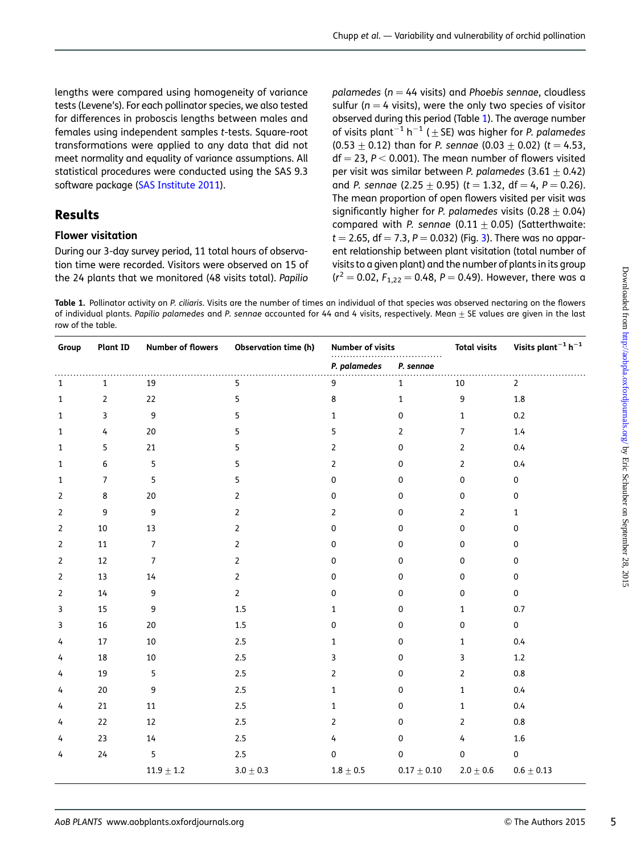lengths were compared using homogeneity of variance tests (Levene's). For each pollinator species, we also tested for differences in proboscis lengths between males and females using independent samples t-tests. Square-root transformations were applied to any data that did not meet normality and equality of variance assumptions. All statistical procedures were conducted using the SAS 9.3 software package ([SAS Institute 2011](#page-9-0)).

#### Results

#### Flower visitation

During our 3-day survey period, 11 total hours of observation time were recorded. Visitors were observed on 15 of the 24 plants that we monitored (48 visits total). Papilio

palamedes ( $n = 44$  visits) and Phoebis sennae, cloudless sulfur ( $n = 4$  visits), were the only two species of visitor observed during this period (Table 1). The average number of visits plant<sup>-1</sup> h<sup>-1</sup> ( $\pm$  SE) was higher for P. palamedes  $(0.53 \pm 0.12)$  than for P. sennae  $(0.03 \pm 0.02)$  (t = 4.53,  $df = 23$ ,  $P < 0.001$ ). The mean number of flowers visited per visit was similar between P. palamedes  $(3.61 + 0.42)$ and P. sennae (2.25  $\pm$  0.95) (t = 1.32, df = 4, P = 0.26). The mean proportion of open flowers visited per visit was significantly higher for P. palamedes visits (0.28  $\pm$  0.04) compared with P. sennae (0.11  $\pm$  0.05) (Satterthwaite:  $t = 2.65$ , df = 7.[3](#page-6-0), P = 0.032) (Fig. 3). There was no apparent relationship between plant visitation (total number of visits to a given plant) and the number of plants in its group  $(r^2 = 0.02, F_{1,22} = 0.48, P = 0.49)$ . However, there was a

Table 1. Pollinator activity on P. ciliaris. Visits are the number of times an individual of that species was observed nectaring on the flowers of individual plants. Papilio palamedes and P. sennae accounted for 44 and 4 visits, respectively. Mean  $\pm$  SE values are given in the last row of the table.

| Group          | <b>Plant ID</b> |                                  | Number of flowers  Observation time (h) | <b>Number of visits</b> |                | <b>Total visits</b> | Visits plant $^{-1}$ h $^{-1}$ |
|----------------|-----------------|----------------------------------|-----------------------------------------|-------------------------|----------------|---------------------|--------------------------------|
|                |                 |                                  |                                         | P. palamedes            | P. sennae      |                     |                                |
| 1              | $\mathbf{1}$    | 19                               | 5                                       | 9                       | $\mathbf{1}$   | 10                  | $\overline{2}$                 |
| 1              | $\overline{2}$  | 22                               | 5                                       | 8                       | $\mathbf{1}$   | 9                   | 1.8                            |
| 1              | 3               | 9                                | 5                                       | $\mathbf{1}$            | 0              | $\mathbf{1}$        | 0.2                            |
| 1              | 4               | 20                               | 5                                       | 5                       | $\overline{2}$ | $\overline{7}$      | 1.4                            |
| 1              | 5               | 21                               | 5                                       | $\overline{2}$          | 0              | 2                   | 0.4                            |
| 1              | 6               | 5                                | 5                                       | $\overline{2}$          | 0              | 2                   | 0.4                            |
| 1              | $\overline{7}$  | 5                                | 5                                       | 0                       | 0              | 0                   | 0                              |
| 2              | 8               | $20\,$                           | $\overline{2}$                          | 0                       | 0              | $\pmb{0}$           | $\pmb{0}$                      |
| 2              | 9               | 9                                | $\overline{2}$                          | $\overline{2}$          | 0              | 2                   | $\mathbf{1}$                   |
| $\overline{2}$ | 10              | 13                               | $\overline{2}$                          | 0                       | 0              | 0                   | 0                              |
| 2              | $11\,$          | $\overline{7}$                   | $\overline{2}$                          | 0                       | 0              | 0                   | 0                              |
| 2              | 12              | $\overline{7}$                   | $\overline{2}$                          | 0                       | 0              | $\pmb{0}$           | $\pmb{0}$                      |
| 2              | 13              | 14                               | $\overline{2}$                          | 0                       | 0              | $\pmb{0}$           | $\pmb{0}$                      |
| 2              | 14              | 9                                | $\overline{2}$                          | 0                       | 0              | 0                   | 0                              |
| 3              | 15              | 9                                | 1.5                                     | $\mathbf{1}$            | 0              | $\mathbf{1}$        | 0.7                            |
| 3              | 16              | 20                               | 1.5                                     | 0                       | 0              | $\pmb{0}$           | $\mathsf{O}\xspace$            |
| 4              | 17              | 10                               | 2.5                                     | $\mathbf{1}$            | 0              | $\mathbf{1}$        | 0.4                            |
| 4              | 18              | 10                               | 2.5                                     | 3                       | 0              | 3                   | 1.2                            |
| 4              | 19              | 5                                | 2.5                                     | $\overline{2}$          | 0              | $\mathbf{2}$        | 0.8                            |
| 4              | 20              | 9                                | 2.5                                     | $\mathbf{1}$            | 0              | $\mathbf{1}$        | 0.4                            |
| 4              | 21              | 11                               | 2.5                                     | $\mathbf{1}$            | 0              | $\mathbf{1}$        | 0.4                            |
| 4              | 22              | 12                               | 2.5                                     | $\overline{2}$          | 0              | $\overline{2}$      | $0.8\,$                        |
| 4              | 23              | 14                               | 2.5                                     | 4                       | 0              | 4                   | 1.6                            |
| 4              | 24              | 5                                | 2.5                                     | 0                       | $\mathsf 0$    | $\pmb{0}$           | $\mathsf{O}\xspace$            |
|                |                 | $\textbf{11.9} \pm \textbf{1.2}$ | $3.0\pm0.3$                             | $1.8\pm0.5$             | $0.17\pm0.10$  | $2.0 \pm 0.6$       | $0.6\pm0.13$                   |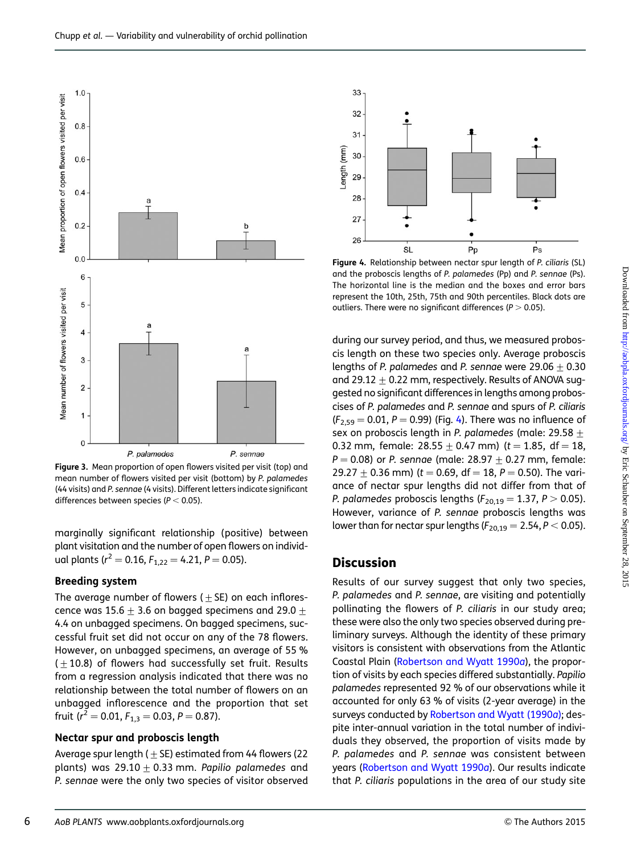<span id="page-6-0"></span>

Figure 3. Mean proportion of open flowers visited per visit (top) and mean number of flowers visited per visit (bottom) by P. palamedes (44 visits) and P. sennae (4 visits). Different letters indicate significant differences between species ( $P < 0.05$ ).

marginally significant relationship (positive) between plant visitation and the number of open flowers on individual plants ( $r^2 = 0.16$ ,  $F_{1,22} = 4.21$ ,  $P = 0.05$ ).

#### Breeding system

The average number of flowers ( $\pm$  SE) on each inflorescence was 15.6  $\pm$  3.6 on bagged specimens and 29.0  $\pm$ 4.4 on unbagged specimens. On bagged specimens, successful fruit set did not occur on any of the 78 flowers. However, on unbagged specimens, an average of 55 %  $(±10.8)$  of flowers had successfully set fruit. Results from a regression analysis indicated that there was no relationship between the total number of flowers on an unbagged inflorescence and the proportion that set fruit ( $r^2 = 0.01$ ,  $F_{1,3} = 0.03$ ,  $P = 0.87$ ).

#### Nectar spur and proboscis length

Average spur length ( $\pm$  SE) estimated from 44 flowers (22 plants) was  $29.10 \pm 0.33$  mm. Papilio palamedes and P. sennae were the only two species of visitor observed



Figure 4. Relationship between nectar spur length of P. ciliaris (SL) and the proboscis lengths of P. palamedes (Pp) and P. sennae (Ps). The horizontal line is the median and the boxes and error bars represent the 10th, 25th, 75th and 90th percentiles. Black dots are outliers. There were no significant differences ( $P > 0.05$ ).

during our survey period, and thus, we measured proboscis length on these two species only. Average proboscis lengths of P. palamedes and P. sennae were 29.06  $\pm$  0.30 and 29.12  $\pm$  0.22 mm, respectively. Results of ANOVA suggested no significant differences in lengths among proboscises of P. palamedes and P. sennae and spurs of P. ciliaris  $(F_{2,59} = 0.01, P = 0.99)$  (Fig. 4). There was no influence of sex on proboscis length in P. palamedes (male: 29.58  $\pm$ 0.32 mm, female:  $28.55 + 0.47$  mm) (t = 1.85, df = 18,  $P = 0.08$ ) or P. sennae (male: 28.97  $\pm$  0.27 mm, female: 29.27  $\pm$  0.36 mm) (t = 0.69, df = 18, P = 0.50). The variance of nectar spur lengths did not differ from that of *P. palamedes proboscis lengths (* $F_{20,19} = 1.37$ *,*  $P > 0.05$ *).* However, variance of P. sennae proboscis lengths was lower than for nectar spur lengths ( $F_{20,19} = 2.54$ ,  $P < 0.05$ ).

#### **Discussion**

Results of our survey suggest that only two species, P. palamedes and P. sennae, are visiting and potentially pollinating the flowers of P. ciliaris in our study area; these were also the only two species observed during preliminary surveys. Although the identity of these primary visitors is consistent with observations from the Atlantic Coastal Plain [\(Robertson and Wyatt 1990](#page-9-0)a), the proportion of visits by each species differed substantially. Papilio palamedes represented 92 % of our observations while it accounted for only 63 % of visits (2-year average) in the surveys conducted by [Robertson and Wyatt \(1990](#page-9-0)a); despite inter-annual variation in the total number of individuals they observed, the proportion of visits made by P. palamedes and P. sennae was consistent between years ([Robertson and Wyatt 1990](#page-9-0)a). Our results indicate that P. ciliaris populations in the area of our study site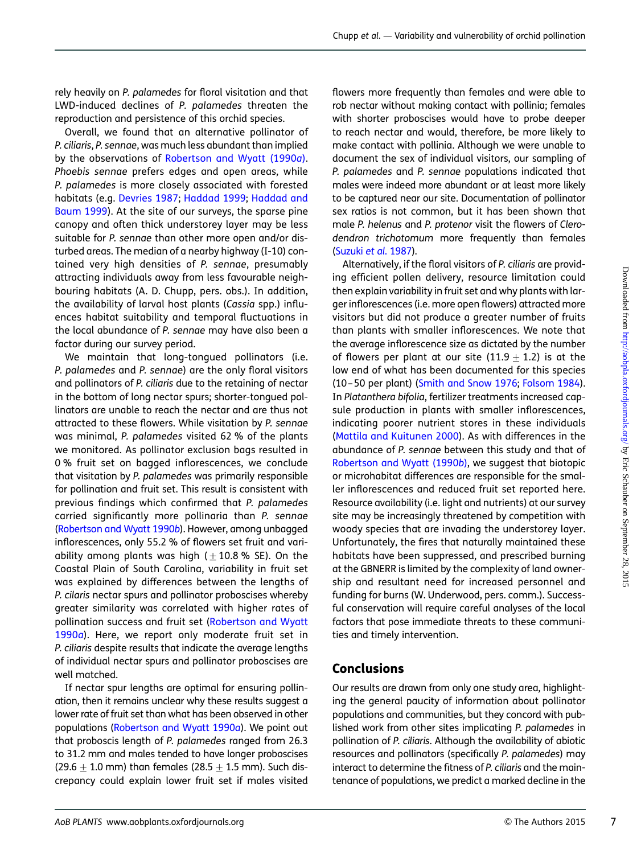rely heavily on P. palamedes for floral visitation and that LWD-induced declines of P. palamedes threaten the reproduction and persistence of this orchid species.

Overall, we found that an alternative pollinator of P. ciliaris, P. sennae, was much less abundant than implied by the observations of [Robertson and Wyatt \(1990](#page-9-0)a). Phoebis sennae prefers edges and open areas, while P. palamedes is more closely associated with forested habitats (e.g. [Devries 1987;](#page-8-0) [Haddad 1999;](#page-8-0) [Haddad and](#page-8-0) [Baum 1999\)](#page-8-0). At the site of our surveys, the sparse pine canopy and often thick understorey layer may be less suitable for P. sennae than other more open and/or disturbed areas. The median of a nearby highway (I-10) contained very high densities of P. sennae, presumably attracting individuals away from less favourable neighbouring habitats (A. D. Chupp, pers. obs.). In addition, the availability of larval host plants (Cassia spp.) influences habitat suitability and temporal fluctuations in the local abundance of P. sennae may have also been a factor during our survey period.

We maintain that long-tongued pollinators (i.e. P. palamedes and P. sennae) are the only floral visitors and pollinators of P. ciliaris due to the retaining of nectar in the bottom of long nectar spurs; shorter-tongued pollinators are unable to reach the nectar and are thus not attracted to these flowers. While visitation by P. sennae was minimal, P. palamedes visited 62 % of the plants we monitored. As pollinator exclusion bags resulted in 0 % fruit set on bagged inflorescences, we conclude that visitation by P. palamedes was primarily responsible for pollination and fruit set. This result is consistent with previous findings which confirmed that P. palamedes carried significantly more pollinaria than P. sennae [\(Robertson and Wyatt 1990](#page-9-0)b). However, among unbagged inflorescences, only 55.2 % of flowers set fruit and variability among plants was high ( $\pm$ 10.8 % SE). On the Coastal Plain of South Carolina, variability in fruit set was explained by differences between the lengths of P. cilaris nectar spurs and pollinator proboscises whereby greater similarity was correlated with higher rates of pollination success and fruit set ([Robertson and Wyatt](#page-9-0) [1990](#page-9-0)a). Here, we report only moderate fruit set in P. ciliaris despite results that indicate the average lengths of individual nectar spurs and pollinator proboscises are well matched.

If nectar spur lengths are optimal for ensuring pollination, then it remains unclear why these results suggest a lower rate of fruit set than what has been observed in other populations ([Robertson and Wyatt 1990](#page-9-0)a). We point out that proboscis length of P. palamedes ranged from 26.3 to 31.2 mm and males tended to have longer proboscises (29.6  $\pm$  1.0 mm) than females (28.5  $\pm$  1.5 mm). Such discrepancy could explain lower fruit set if males visited

flowers more frequently than females and were able to rob nectar without making contact with pollinia; females with shorter proboscises would have to probe deeper to reach nectar and would, therefore, be more likely to make contact with pollinia. Although we were unable to document the sex of individual visitors, our sampling of P. palamedes and P. sennae populations indicated that males were indeed more abundant or at least more likely to be captured near our site. Documentation of pollinator sex ratios is not common, but it has been shown that male P. helenus and P. protenor visit the flowers of Clerodendron trichotomum more frequently than females ([Suzuki](#page-9-0) et al. 1987).

Alternatively, if the floral visitors of P. ciliaris are providing efficient pollen delivery, resource limitation could then explain variability in fruit set and why plants with larger inflorescences (i.e. more open flowers) attracted more visitors but did not produce a greater number of fruits than plants with smaller inflorescences. We note that the average inflorescence size as dictated by the number of flowers per plant at our site  $(11.9 \pm 1.2)$  is at the low end of what has been documented for this species (10–50 per plant) ([Smith and Snow 1976;](#page-9-0) [Folsom 1984](#page-8-0)). In Platanthera bifolia, fertilizer treatments increased capsule production in plants with smaller inflorescences, indicating poorer nutrient stores in these individuals ([Mattila and Kuitunen 2000](#page-9-0)). As with differences in the abundance of P. sennae between this study and that of [Robertson and Wyatt \(1990](#page-9-0)b), we suggest that biotopic or microhabitat differences are responsible for the smaller inflorescences and reduced fruit set reported here. Resource availability (i.e. light and nutrients) at our survey site may be increasingly threatened by competition with woody species that are invading the understorey layer. Unfortunately, the fires that naturally maintained these habitats have been suppressed, and prescribed burning at the GBNERR is limited by the complexity of land ownership and resultant need for increased personnel and funding for burns (W. Underwood, pers. comm.). Successful conservation will require careful analyses of the local factors that pose immediate threats to these communities and timely intervention.

## Conclusions

Our results are drawn from only one study area, highlighting the general paucity of information about pollinator populations and communities, but they concord with published work from other sites implicating P. palamedes in pollination of P. ciliaris. Although the availability of abiotic resources and pollinators (specifically P. palamedes) may interact to determine the fitness of P. ciliaris and the maintenance of populations, we predict a marked decline in the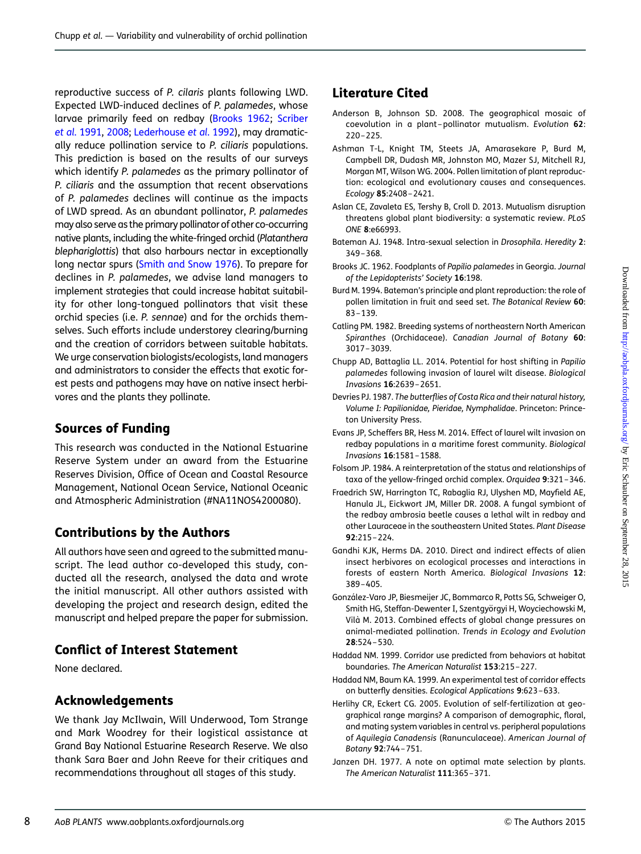<span id="page-8-0"></span>reproductive success of P. cilaris plants following LWD. Expected LWD-induced declines of P. palamedes, whose larvae primarily feed on redbay (Brooks 1962; [Scriber](#page-9-0) et al[. 1991](#page-9-0), [2008;](#page-9-0) [Lederhouse](#page-9-0) et al. 1992), may dramatically reduce pollination service to P. ciliaris populations. This prediction is based on the results of our surveys which identify P. palamedes as the primary pollinator of P. ciliaris and the assumption that recent observations of P. palamedes declines will continue as the impacts of LWD spread. As an abundant pollinator, P. palamedes may also serve as the primary pollinator of other co-occurring native plants, including the white-fringed orchid (Platanthera blephariglottis) that also harbours nectar in exceptionally long nectar spurs [\(Smith and Snow 1976](#page-9-0)). To prepare for declines in P. palamedes, we advise land managers to implement strategies that could increase habitat suitability for other long-tongued pollinators that visit these orchid species (i.e. P. sennae) and for the orchids themselves. Such efforts include understorey clearing/burning and the creation of corridors between suitable habitats. We urge conservation biologists/ecologists, land managers and administrators to consider the effects that exotic forest pests and pathogens may have on native insect herbivores and the plants they pollinate.

## Sources of Funding

This research was conducted in the National Estuarine Reserve System under an award from the Estuarine Reserves Division, Office of Ocean and Coastal Resource Management, National Ocean Service, National Oceanic and Atmospheric Administration (#NA11NOS4200080).

# Contributions by the Authors

All authors have seen and agreed to the submitted manuscript. The lead author co-developed this study, conducted all the research, analysed the data and wrote the initial manuscript. All other authors assisted with developing the project and research design, edited the manuscript and helped prepare the paper for submission.

## Conflict of Interest Statement

None declared.

## Acknowledgements

We thank Jay McIlwain, Will Underwood, Tom Strange and Mark Woodrey for their logistical assistance at Grand Bay National Estuarine Research Reserve. We also thank Sara Baer and John Reeve for their critiques and recommendations throughout all stages of this study.

# Literature Cited

- Anderson B, Johnson SD. 2008. The geographical mosaic of coevolution in a plant–pollinator mutualism. Evolution 62: 220–225.
- Ashman T-L, Knight TM, Steets JA, Amarasekare P, Burd M, Campbell DR, Dudash MR, Johnston MO, Mazer SJ, Mitchell RJ, Morgan MT, Wilson WG. 2004. Pollen limitation of plant reproduction: ecological and evolutionary causes and consequences. Ecology 85:2408–2421.
- Aslan CE, Zavaleta ES, Tershy B, Croll D. 2013. Mutualism disruption threatens global plant biodiversity: a systematic review. PLoS ONE 8:e66993.
- Bateman AJ. 1948. Intra-sexual selection in Drosophila. Heredity 2: 349–368.
- Brooks JC. 1962. Foodplants of Papilio palamedes in Georgia. Journal of the Lepidopterists' Society 16:198.
- Burd M. 1994. Bateman's principle and plant reproduction: the role of pollen limitation in fruit and seed set. The Botanical Review 60: 83–139.
- Catling PM. 1982. Breeding systems of northeastern North American Spiranthes (Orchidaceae). Canadian Journal of Botany 60: 3017–3039.
- Chupp AD, Battaglia LL. 2014. Potential for host shifting in Papilio palamedes following invasion of laurel wilt disease. Biological Invasions 16:2639–2651.
- Devries PJ. 1987. The butterflies of Costa Rica and their natural history, Volume I: Papilionidae, Pieridae, Nymphalidae. Princeton: Princeton University Press.
- Evans JP, Scheffers BR, Hess M. 2014. Effect of laurel wilt invasion on redbay populations in a maritime forest community. Biological Invasions 16:1581–1588.
- Folsom JP. 1984. A reinterpretation of the status and relationships of taxa of the yellow-fringed orchid complex. Orquidea 9:321–346.
- Fraedrich SW, Harrington TC, Rabaglia RJ, Ulyshen MD, Mayfield AE, Hanula JL, Eickwort JM, Miller DR. 2008. A fungal symbiont of the redbay ambrosia beetle causes a lethal wilt in redbay and other Lauraceae in the southeastern United States. Plant Disease  $92.215 - 224$
- Gandhi KJK, Herms DA. 2010. Direct and indirect effects of alien insect herbivores on ecological processes and interactions in forests of eastern North America. Biological Invasions 12: 389–405.
- González-Varo JP, Biesmeijer JC, Bommarco R, Potts SG, Schweiger O, Smith HG, Steffan-Dewenter I, Szentgyörgyi H, Woyciechowski M, Vilà M. 2013. Combined effects of global change pressures on animal-mediated pollination. Trends in Ecology and Evolution 28:524–530.
- Haddad NM. 1999. Corridor use predicted from behaviors at habitat boundaries. The American Naturalist 153:215–227.
- Haddad NM, Baum KA. 1999. An experimental test of corridor effects on butterfly densities. Ecological Applications 9:623–633.
- Herlihy CR, Eckert CG. 2005. Evolution of self-fertilization at geographical range margins? A comparison of demographic, floral, and mating system variables in central vs. peripheral populations of Aquilegia Canadensis (Ranunculaceae). American Journal of Botany 92:744–751.
- Janzen DH. 1977. A note on optimal mate selection by plants. The American Naturalist 111:365–371.